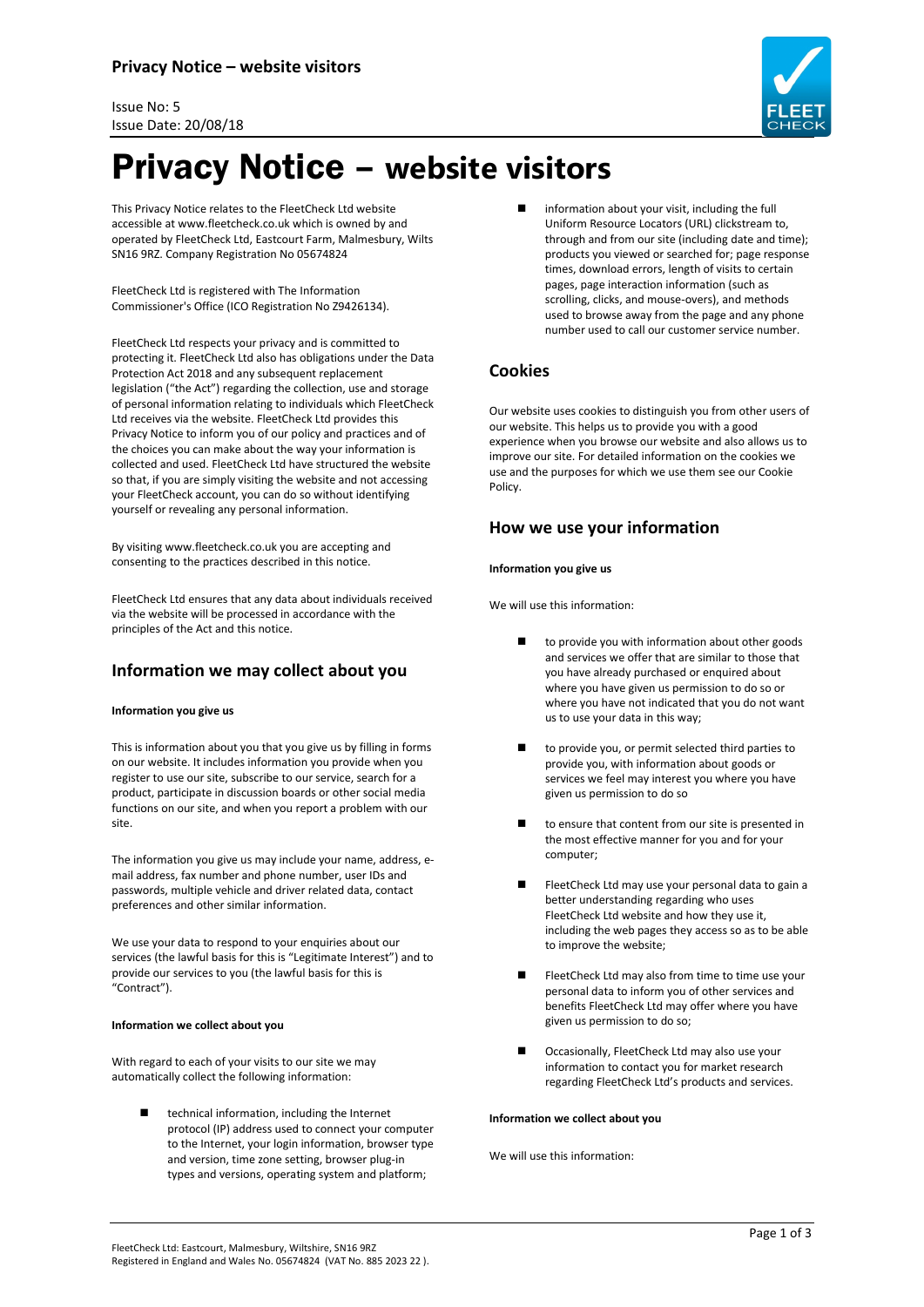



# Privacy Notice – **website visitors**

This Privacy Notice relates to the FleetCheck Ltd website accessible at www.fleetcheck.co.uk which is owned by and operated by FleetCheck Ltd, Eastcourt Farm, Malmesbury, Wilts SN16 9RZ. Company Registration No 05674824

FleetCheck Ltd is registered with The Information Commissioner's Office (ICO Registration No Z9426134).

FleetCheck Ltd respects your privacy and is committed to protecting it. FleetCheck Ltd also has obligations under the Data Protection Act 2018 and any subsequent replacement legislation ("the Act") regarding the collection, use and storage of personal information relating to individuals which FleetCheck Ltd receives via the website. FleetCheck Ltd provides this Privacy Notice to inform you of our policy and practices and of the choices you can make about the way your information is collected and used. FleetCheck Ltd have structured the website so that, if you are simply visiting the website and not accessing your FleetCheck account, you can do so without identifying yourself or revealing any personal information.

By visiting www.fleetcheck.co.uk you are accepting and consenting to the practices described in this notice.

FleetCheck Ltd ensures that any data about individuals received via the website will be processed in accordance with the principles of the Act and this notice.

# **Information we may collect about you**

#### **Information you give us**

This is information about you that you give us by filling in forms on our website. It includes information you provide when you register to use our site, subscribe to our service, search for a product, participate in discussion boards or other social media functions on our site, and when you report a problem with our site.

The information you give us may include your name, address, email address, fax number and phone number, user IDs and passwords, multiple vehicle and driver related data, contact preferences and other similar information.

We use your data to respond to your enquiries about our services (the lawful basis for this is "Legitimate Interest") and to provide our services to you (the lawful basis for this is "Contract").

#### **Information we collect about you**

With regard to each of your visits to our site we may automatically collect the following information:

> technical information, including the Internet protocol (IP) address used to connect your computer to the Internet, your login information, browser type and version, time zone setting, browser plug-in types and versions, operating system and platform;

 information about your visit, including the full Uniform Resource Locators (URL) clickstream to, through and from our site (including date and time); products you viewed or searched for; page response times, download errors, length of visits to certain pages, page interaction information (such as scrolling, clicks, and mouse-overs), and methods used to browse away from the page and any phone number used to call our customer service number.

# **Cookies**

Our website uses cookies to distinguish you from other users of our website. This helps us to provide you with a good experience when you browse our website and also allows us to improve our site. For detailed information on the cookies we use and the purposes for which we use them see our Cookie Policy.

## **How we use your information**

#### **Information you give us**

We will use this information:

- to provide you with information about other goods and services we offer that are similar to those that you have already purchased or enquired about where you have given us permission to do so or where you have not indicated that you do not want us to use your data in this way;
- to provide you, or permit selected third parties to provide you, with information about goods or services we feel may interest you where you have given us permission to do so
- to ensure that content from our site is presented in the most effective manner for you and for your computer;
- FleetCheck Ltd may use your personal data to gain a better understanding regarding who uses FleetCheck Ltd website and how they use it, including the web pages they access so as to be able to improve the website;
- FleetCheck Ltd may also from time to time use your personal data to inform you of other services and benefits FleetCheck Ltd may offer where you have given us permission to do so;
- Occasionally, FleetCheck Ltd may also use your information to contact you for market research regarding FleetCheck Ltd's products and services.

#### **Information we collect about you**

We will use this information: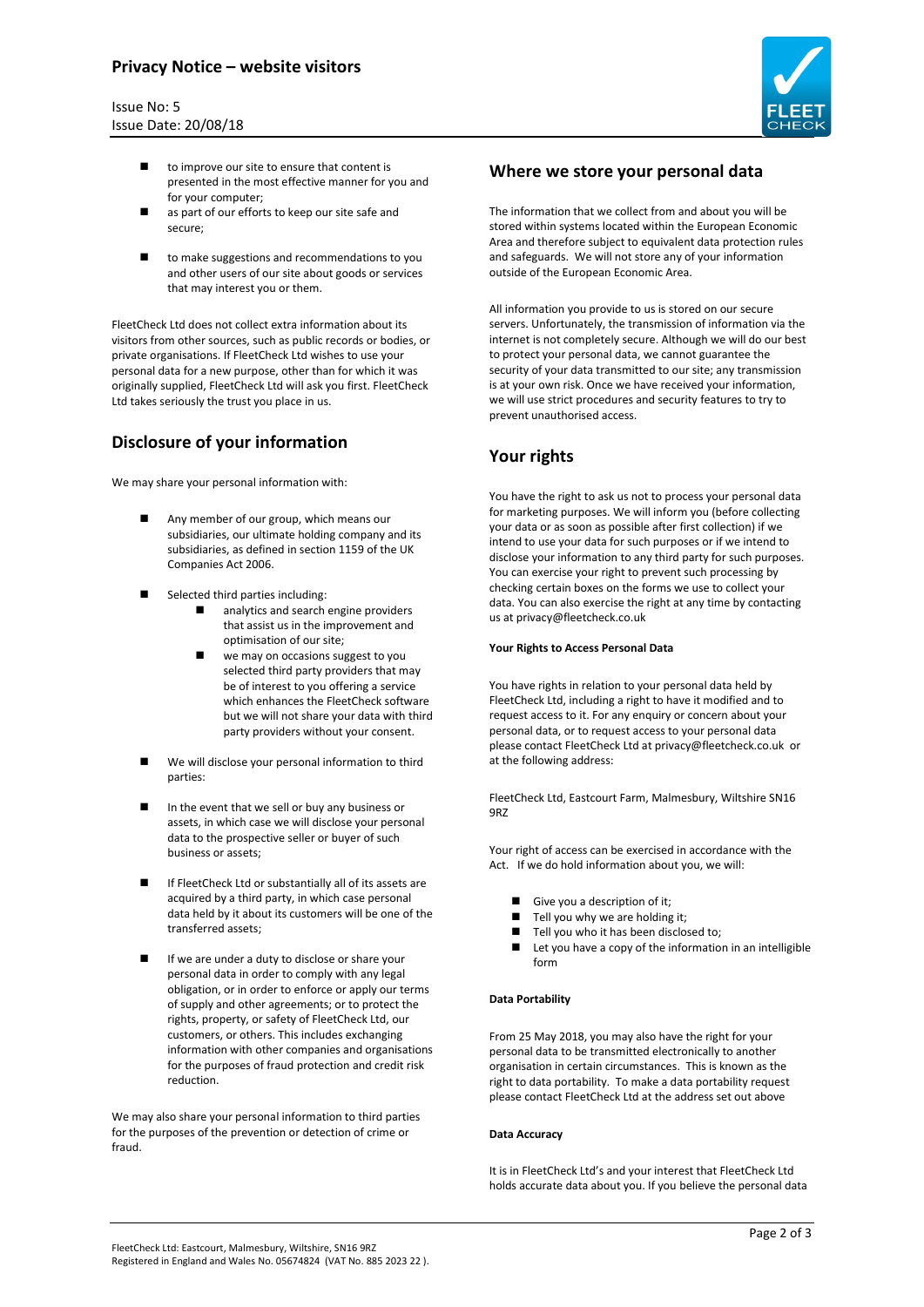# **Privacy Notice – website visitors**

#### Issue No: 5 Issue Date: 20/08/18



- $\blacksquare$  to improve our site to ensure that content is presented in the most effective manner for you and for your computer;
- as part of our efforts to keep our site safe and secure;
- to make suggestions and recommendations to you and other users of our site about goods or services that may interest you or them.

FleetCheck Ltd does not collect extra information about its visitors from other sources, such as public records or bodies, or private organisations. If FleetCheck Ltd wishes to use your personal data for a new purpose, other than for which it was originally supplied, FleetCheck Ltd will ask you first. FleetCheck Ltd takes seriously the trust you place in us.

# **Disclosure of your information**

We may share your personal information with:

- Any member of our group, which means our subsidiaries, our ultimate holding company and its subsidiaries, as defined in section 1159 of the UK Companies Act 2006.
- Selected third parties including:
	- analytics and search engine providers that assist us in the improvement and optimisation of our site;
	- we may on occasions suggest to you selected third party providers that may be of interest to you offering a service which enhances the FleetCheck software but we will not share your data with third party providers without your consent.
- We will disclose your personal information to third parties:
- In the event that we sell or buy any business or assets, in which case we will disclose your personal data to the prospective seller or buyer of such business or assets;
- If FleetCheck Ltd or substantially all of its assets are acquired by a third party, in which case personal data held by it about its customers will be one of the transferred assets;
- If we are under a duty to disclose or share your personal data in order to comply with any legal obligation, or in order to enforce or apply our terms of supply and other agreements; or to protect the rights, property, or safety of FleetCheck Ltd, our customers, or others. This includes exchanging information with other companies and organisations for the purposes of fraud protection and credit risk reduction.

We may also share your personal information to third parties for the purposes of the prevention or detection of crime or fraud.

## **Where we store your personal data**

The information that we collect from and about you will be stored within systems located within the European Economic Area and therefore subject to equivalent data protection rules and safeguards. We will not store any of your information outside of the European Economic Area.

All information you provide to us is stored on our secure servers. Unfortunately, the transmission of information via the internet is not completely secure. Although we will do our best to protect your personal data, we cannot guarantee the security of your data transmitted to our site; any transmission is at your own risk. Once we have received your information, we will use strict procedures and security features to try to prevent unauthorised access.

# **Your rights**

You have the right to ask us not to process your personal data for marketing purposes. We will inform you (before collecting your data or as soon as possible after first collection) if we intend to use your data for such purposes or if we intend to disclose your information to any third party for such purposes. You can exercise your right to prevent such processing by checking certain boxes on the forms we use to collect your data. You can also exercise the right at any time by contacting us at [privacy@fleetcheck.co.uk](mailto:privacy@fleetcheck.co.uk)

#### **Your Rights to Access Personal Data**

You have rights in relation to your personal data held by FleetCheck Ltd, including a right to have it modified and to request access to it. For any enquiry or concern about your personal data, or to request access to your personal data please contact FleetCheck Ltd at privacy@fleetcheck.co.uk or at the following address:

FleetCheck Ltd, Eastcourt Farm, Malmesbury, Wiltshire SN16 9RZ

Your right of access can be exercised in accordance with the Act. If we do hold information about you, we will:

- Give you a description of it;
- Tell you why we are holding it;
- Tell you who it has been disclosed to;
- Let you have a copy of the information in an intelligible form

#### **Data Portability**

From 25 May 2018, you may also have the right for your personal data to be transmitted electronically to another organisation in certain circumstances. This is known as the right to data portability. To make a data portability request please contact FleetCheck Ltd at the address set out above

#### **Data Accuracy**

It is in FleetCheck Ltd's and your interest that FleetCheck Ltd holds accurate data about you. If you believe the personal data